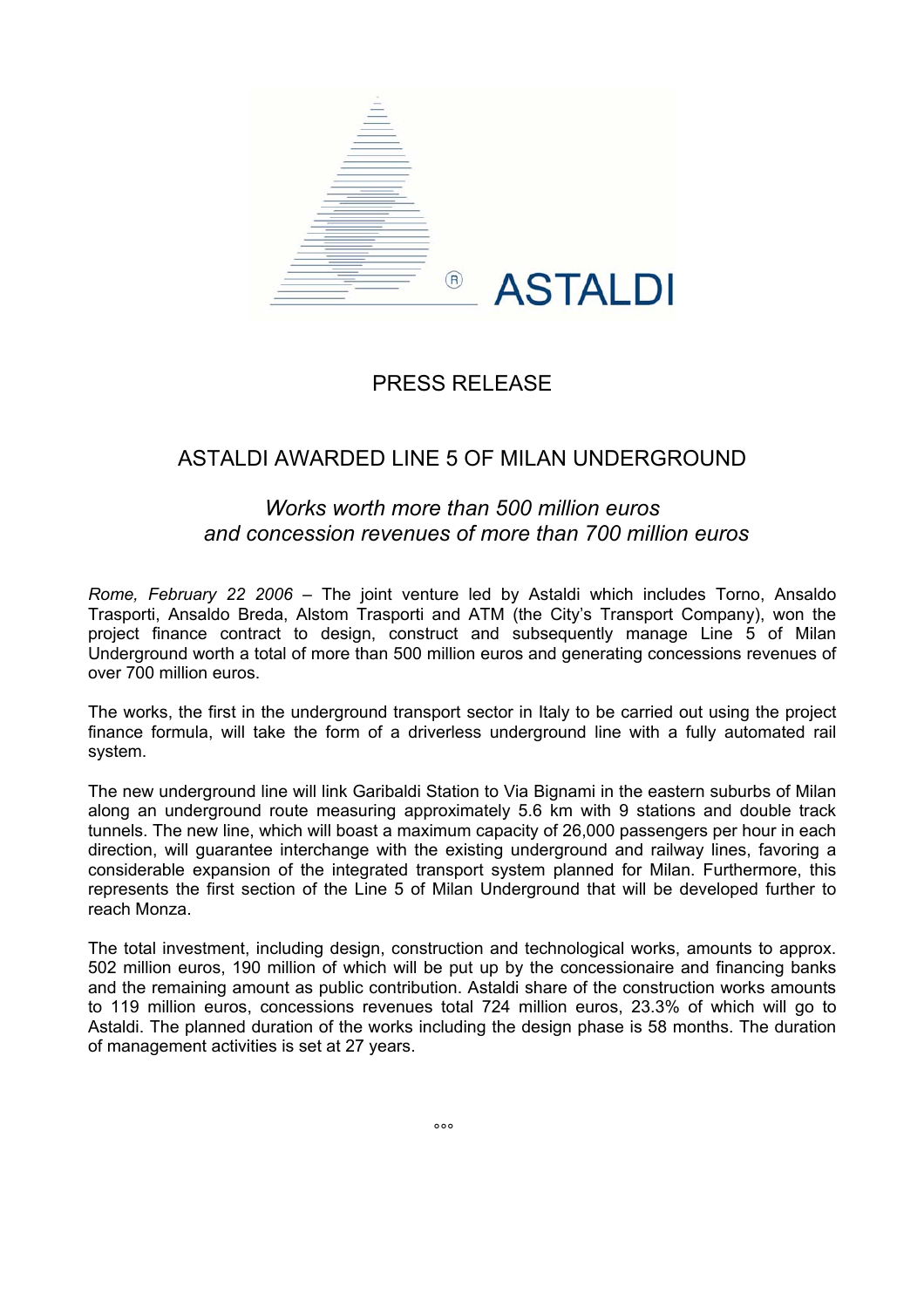

## PRESS RELEASE

## ASTALDI AWARDED LINE 5 OF MILAN UNDERGROUND

## *Works worth more than 500 million euros and concession revenues of more than 700 million euros*

*Rome, February 22 2006* – The joint venture led by Astaldi which includes Torno, Ansaldo Trasporti, Ansaldo Breda, Alstom Trasporti and ATM (the City's Transport Company), won the project finance contract to design, construct and subsequently manage Line 5 of Milan Underground worth a total of more than 500 million euros and generating concessions revenues of over 700 million euros.

The works, the first in the underground transport sector in Italy to be carried out using the project finance formula, will take the form of a driverless underground line with a fully automated rail system.

The new underground line will link Garibaldi Station to Via Bignami in the eastern suburbs of Milan along an underground route measuring approximately 5.6 km with 9 stations and double track tunnels. The new line, which will boast a maximum capacity of 26,000 passengers per hour in each direction, will guarantee interchange with the existing underground and railway lines, favoring a considerable expansion of the integrated transport system planned for Milan. Furthermore, this represents the first section of the Line 5 of Milan Underground that will be developed further to reach Monza.

The total investment, including design, construction and technological works, amounts to approx. 502 million euros, 190 million of which will be put up by the concessionaire and financing banks and the remaining amount as public contribution. Astaldi share of the construction works amounts to 119 million euros, concessions revenues total 724 million euros, 23.3% of which will go to Astaldi. The planned duration of the works including the design phase is 58 months. The duration of management activities is set at 27 years.